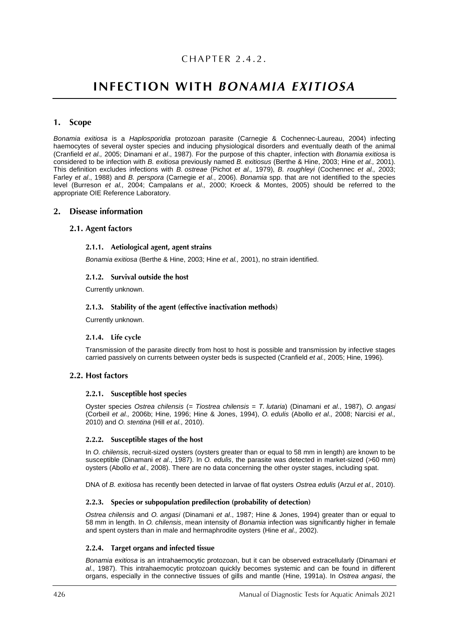## CHAPTER 2.4.2.

# **INFECTION WITH BONAMIA EXITIOSA**

## 1. Scope

*Bonamia exitiosa* is a *Haplosporidia* protozoan parasite (Carnegie & Cochennec-Laureau, 2004) infecting haemocytes of several oyster species and inducing physiological disorders and eventually death of the animal (Cranfield *et al.,* 2005; Dinamani *et al*., 1987). For the purpose of this chapter, infection with *Bonamia exitiosa* is considered to be infection with *B. exitiosa* previously named *B. exitiosus* (Berthe & Hine, 2003; Hine *et al.,* 2001). This definition excludes infections with *B. ostreae* (Pichot *et al.,* 1979), *B. roughleyi* (Cochennec *et al.,* 2003; Farley *et al*., 1988) and *B. perspora* (Carnegie *et al*., 2006). *Bonamia* spp. that are not identified to the species level (Burreson *et al.,* 2004; Campalans *et al.,* 2000; Kroeck & Montes, 2005) should be referred to the appropriate OIE Reference Laboratory.

#### 2. Disease information

## 2.1. Agent factors

#### 2.1.1. Aetiological agent, agent strains

*Bonamia exitiosa* (Berthe & Hine, 2003; Hine *et al.,* 2001), no strain identified.

#### 2.1.2. Survival outside the host

Currently unknown.

#### 2.1.3. Stability of the agent (effective inactivation methods)

Currently unknown.

#### 2.1.4. Life cycle

Transmission of the parasite directly from host to host is possible and transmission by infective stages carried passively on currents between oyster beds is suspected (Cranfield *et al.,* 2005; Hine, 1996).

#### 2.2. Host factors

#### 2.2.1. Susceptible host species

Oyster species *Ostrea chilensis* (*= Tiostrea chilensis* = *T. lutaria*) (Dinamani *et al*., 1987), *O. angasi* (Corbeil *et al.,* 2006b; Hine, 1996; Hine & Jones, 1994), *O. edulis* (Abollo *et al.,* 2008; Narcisi *et al.,* 2010) and *O. stentina* (Hill *et al.,* 2010).

#### 2.2.2. Susceptible stages of the host

In *O. chilensis*, recruit-sized oysters (oysters greater than or equal to 58 mm in length) are known to be susceptible (Dinamani *et al*., 1987). In *O. edulis*, the parasite was detected in market-sized (>60 mm) oysters (Abollo *et al.,* 2008). There are no data concerning the other oyster stages, including spat.

DNA of *B. exitiosa* has recently been detected in larvae of flat oysters *Ostrea edulis* (Arzul *et al.,* 2010).

#### 2.2.3. Species or subpopulation predilection (probability of detection)

*Ostrea chilensis* and *O. angasi* (Dinamani *et al*., 1987; Hine & Jones, 1994) greater than or equal to 58 mm in length. In *O. chilensis*, mean intensity of *Bonamia* infection was significantly higher in female and spent oysters than in male and hermaphrodite oysters (Hine *et al.,* 2002).

## 2.2.4. Target organs and infected tissue

*Bonamia exitiosa* is an intrahaemocytic protozoan, but it can be observed extracellularly (Dinamani *et al*., 1987). This intrahaemocytic protozoan quickly becomes systemic and can be found in different organs, especially in the connective tissues of gills and mantle (Hine, 1991a). In *Ostrea angasi*, the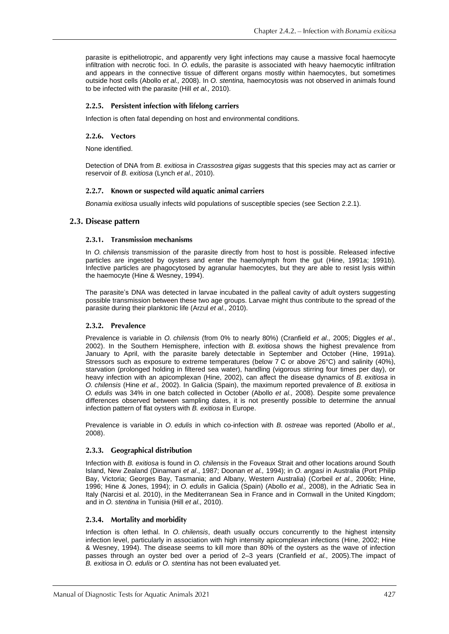parasite is epitheliotropic, and apparently very light infections may cause a massive focal haemocyte infiltration with necrotic foci. In *O. edulis*, the parasite is associated with heavy haemocytic infiltration and appears in the connective tissue of different organs mostly within haemocytes, but sometimes outside host cells (Abollo *et al.,* 2008). In *O. stentina,* haemocytosis was not observed in animals found to be infected with the parasite (Hill *et al.,* 2010).

### 2.2.5. Persistent infection with lifelong carriers

Infection is often fatal depending on host and environmental conditions.

### 2.2.6. Vectors

None identified.

Detection of DNA from *B. exitiosa* in *Crassostrea gigas* suggests that this species may act as carrier or reservoir of *B. exitiosa* (Lynch *et al.,* 2010).

## 2.2.7. Known or suspected wild aquatic animal carriers

*Bonamia exitiosa* usually infects wild populations of susceptible species (see Section 2.2.1).

## 2.3. Disease pattern

#### 2.3.1. Transmission mechanisms

In *O. chilensis* transmission of the parasite directly from host to host is possible. Released infective particles are ingested by oysters and enter the haemolymph from the gut (Hine, 1991a; 1991b). Infective particles are phagocytosed by agranular haemocytes, but they are able to resist lysis within the haemocyte (Hine & Wesney, 1994).

The parasite's DNA was detected in larvae incubated in the palleal cavity of adult oysters suggesting possible transmission between these two age groups. Larvae might thus contribute to the spread of the parasite during their planktonic life (Arzul *et al.,* 2010).

#### 2.3.2. Prevalence

Prevalence is variable in *O. chilensis* (from 0% to nearly 80%) (Cranfield *et al.,* 2005; Diggles *et al*., 2002). In the Southern Hemisphere, infection with *B. exitiosa* shows the highest prevalence from January to April, with the parasite barely detectable in September and October (Hine, 1991a). Stressors such as exposure to extreme temperatures (below 7 C or above 26°C) and salinity (40%), starvation (prolonged holding in filtered sea water), handling (vigorous stirring four times per day), or heavy infection with an [apicomplexan](http://www.pac.dfo-mpo.gc.ca/sci/shelldis/pages/apicomplexnzoy_e.htm) (Hine, 2002), can affect the disease dynamics of *B. exitiosa* in *O. chilensis* (Hine *et al.,* 2002). In Galicia (Spain), the maximum reported prevalence of *B. exitiosa* in *O. edulis* was 34% in one batch collected in October (Abollo *et al.,* 2008). Despite some prevalence differences observed between sampling dates, it is not presently possible to determine the annual infection pattern of flat oysters with *B. exitiosa* in Europe.

Prevalence is variable in *O. edulis* in which co-infection with *B. ostreae* was reported (Abollo *et al.,* 2008).

#### 2.3.3. Geographical distribution

Infection with *B. exitiosa* is found in *O. chilensis* in the Foveaux Strait and other locations around South Island, New Zealand (Dinamani *et al*., 1987; Doonan *et al.,* 1994); in *O. angasi* in Australia (Port Philip Bay, Victoria; Georges Bay, Tasmania; and Albany, Western Australia) (Corbeil *et al.,* 2006b; Hine, 1996; Hine & Jones, 1994); in *O. edulis* in Galicia (Spain) (Abollo *et al.,* 2008), in the Adriatic Sea in Italy (Narcisi et al. 2010), in the Mediterranean Sea in France and in Cornwall in the United Kingdom; and in *O. stentina* in Tunisia (Hill *et al.,* 2010).

#### 2.3.4. Mortality and morbidity

Infection is often lethal. In *O. chilensis*, death usually occurs concurrently to the highest intensity infection level, particularly in association with high intensity apicomplexan infections (Hine, 2002; Hine & Wesney, 1994). The disease seems to kill more than 80% of the oysters as the wave of infection passes through an oyster bed over a period of 2–3 years (Cranfield *et al.,* 2005).The impact of *B. exitiosa* in *O. edulis* or *O. stentina* has not been evaluated yet.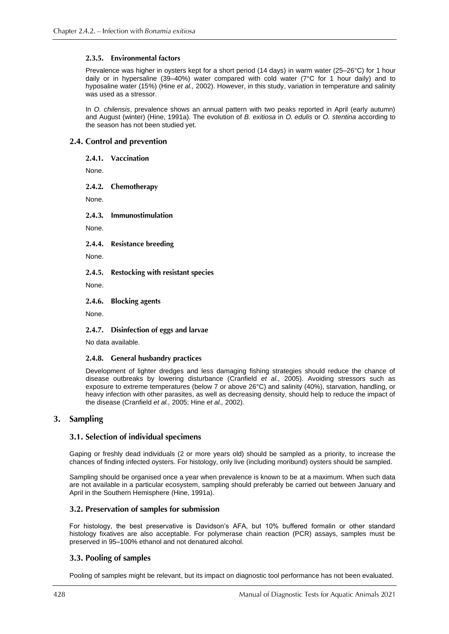## 2.3.5. Environmental factors

Prevalence was higher in oysters kept for a short period (14 days) in warm water (25–26°C) for 1 hour daily or in hypersaline (39–40%) water compared with cold water (7°C for 1 hour daily) and to hyposaline water (15%) (Hine *et al.,* 2002). However, in this study, variation in temperature and salinity was used as a stressor.

In *O. chilensis*, prevalence shows an annual pattern with two peaks reported in April (early autumn) and August (winter) (Hine, 1991a). The evolution of *B. exitiosa* in *O. edulis* or *O. stentina* according to the season has not been studied yet.

## 2.4. Control and prevention

2.4.1. Vaccination

None.

 $2.4.2.$ Chemotherapy

None.

2.4.3. Immunostimulation

None.

**Resistance breeding**  $2.4.4.$ 

None.

 $2.4.5.$ **Restocking with resistant species** 

None.

 $2.4.6.$ **Blocking agents** 

None.

2.4.7. Disinfection of eggs and larvae

No data available.

#### 2.4.8. General husbandry practices

Development of lighter dredges and less damaging fishing strategies should reduce the chance of disease outbreaks by lowering disturbance (Cranfield *et al.,* 2005). Avoiding stressors such as exposure to extreme temperatures (below 7 or above 26°C) and salinity (40%), starvation, handling, or heavy infection with other parasites, as well as decreasing density, should help to reduce the impact of the disease (Cranfield *et al.,* 2005; Hine *et al.,* 2002).

## 3. Sampling

## 3.1. Selection of individual specimens

Gaping or freshly dead individuals (2 or more years old) should be sampled as a priority, to increase the chances of finding infected oysters. For histology, only live (including moribund) oysters should be sampled.

Sampling should be organised once a year when prevalence is known to be at a maximum. When such data are not available in a particular ecosystem, sampling should preferably be carried out between January and April in the Southern Hemisphere (Hine, 1991a).

## 3.2. Preservation of samples for submission

For histology, the best preservative is Davidson's AFA, but 10% buffered formalin or other standard histology fixatives are also acceptable. For polymerase chain reaction (PCR) assays, samples must be preserved in 95–100% ethanol and not denatured alcohol.

## 3.3. Pooling of samples

Pooling of samples might be relevant, but its impact on diagnostic tool performance has not been evaluated.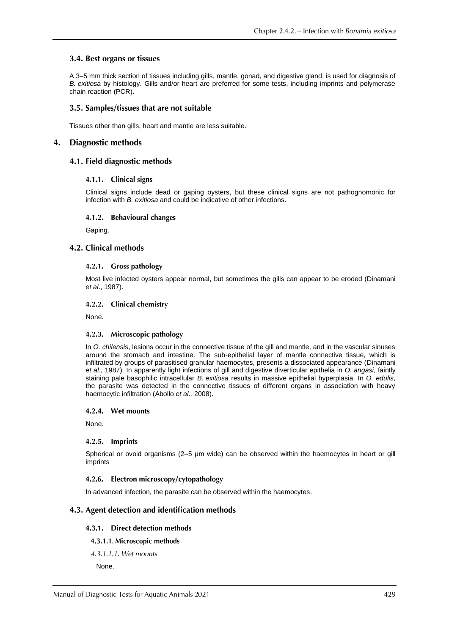## 3.4. Best organs or tissues

A 3–5 mm thick section of tissues including gills, mantle, gonad, and digestive gland, is used for diagnosis of *B. exitiosa* by histology. Gills and/or heart are preferred for some tests, including imprints and polymerase chain reaction (PCR).

### 3.5. Samples/tissues that are not suitable

Tissues other than gills, heart and mantle are less suitable.

#### 4. **Diagnostic methods**

## 4.1. Field diagnostic methods

#### 4.1.1. Clinical signs

Clinical signs include dead or gaping oysters, but these clinical signs are not pathognomonic for infection with *B. exitiosa* and could be indicative of other infections.

#### 4.1.2. Behavioural changes

Gaping.

#### 4.2. Clinical methods

#### 4.2.1. Gross pathology

Most live infected oysters appear normal, but sometimes the gills can appear to be eroded (Dinamani *et al*., 1987).

#### 4.2.2. Clinical chemistry

None.

#### 4.2.3. Microscopic pathology

In *O. chilensis*, lesions occur in the connective tissue of the gill and mantle, and in the vascular sinuses around the stomach and intestine. The sub-epithelial layer of mantle connective tissue, which is infiltrated by groups of parasitised granular haemocytes, presents a dissociated appearance (Dinamani *et al*., 1987). In apparently light infections of gill and digestive diverticular epithelia in *O. angasi,* faintly staining pale basophilic intracellular *B. exitiosa* results in massive epithelial hyperplasia. In *O. edulis*, the parasite was detected in the connective tissues of different organs in association with heavy haemocytic infiltration (Abollo *et al.,* 2008).

#### 4.2.4. Wet mounts

None.

#### 4.2.5. Imprints

Spherical or ovoid organisms (2–5 µm wide) can be observed within the haemocytes in heart or gill imprints

#### 4.2.6. Electron microscopy/cytopathology

In advanced infection, the parasite can be observed within the haemocytes.

## 4.3. Agent detection and identification methods

#### 4.3.1. Direct detection methods

#### 4.3.1.1. Microscopic methods

4.3.1.1.1. Wet mounts

None.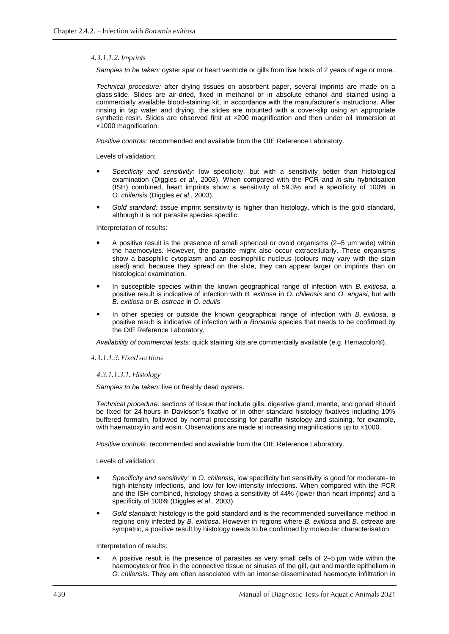#### 4.3.1.1.2. Imprints

*Samples to be taken:* oyster spat or heart ventricle or gills from live hosts of 2 years of age or more.

*Technical procedure:* after drying tissues on absorbent paper, several imprints are made on a glass slide. Slides are air-dried, fixed in methanol or in absolute ethanol and stained using a commercially available blood-staining kit, in accordance with the manufacturer's instructions. After rinsing in tap water and drying, the slides are mounted with a cover-slip using an appropriate synthetic resin. Slides are observed first at  $\times$ 200 magnification and then under oil immersion at ×1000 magnification.

*Positive controls:* recommended and available from the OIE Reference Laboratory.

Levels of validation:

- *Specificity and sensitivity:* low specificity, but with a sensitivity better than histological examination (Diggles *et al*., 2003). When compared with the PCR and *in-situ* hybridisation (ISH) combined, heart imprints show a sensitivity of 59.3% and a specificity of 100% in *O. chilensis* (Diggles *et al*., 2003).
- *Gold standard:* tissue imprint sensitivity is higher than histology, which is the gold standard, although it is not parasite species specific.

Interpretation of results:

- A positive result is the presence of small spherical or ovoid organisms (2–5 µm wide) within the haemocytes. However, the parasite might also occur extracellularly. These organisms show a basophilic cytoplasm and an eosinophilic nucleus (colours may vary with the stain used) and, because they spread on the slide, they can appear larger on imprints than on histological examination.
- In susceptible species within the known geographical range of infection with *B. exitiosa,* a positive result is indicative of infection with *B. exitiosa* in *O. chilensis* and *O. angasi*, but with *B. exitiosa* or *B. ostreae* in *O. edulis*
- In other species or outside the known geographical range of infection with *B. exitiosa*, a positive result is indicative of infection with a *Bonamia* species that needs to be confirmed by the OIE Reference Laboratory.

*Availability of commercial tests:* quick staining kits are commercially available (e.g. Hemacolor®).

4.3.1.1.3. Fixed sections

#### 4.3.1.1.3.1. Histology

*Samples to be taken:* live or freshly dead oysters.

*Technical procedure:* sections of tissue that include gills, digestive gland, mantle, and gonad should be fixed for 24 hours in Davidson's fixative or in other standard histology fixatives including 10% buffered formalin, followed by normal processing for paraffin histology and staining, for example, with haematoxylin and eosin. Observations are made at increasing magnifications up to  $\times$ 1000.

*Positive controls:* recommended and available from the OIE Reference Laboratory.

Levels of validation:

- *Specificity and sensitivity:* in *O. chilensis*, low specificity but sensitivity is good for moderate- to high-intensity infections, and low for low-intensity infections. When compared with the PCR and the ISH combined, histology shows a sensitivity of 44% (lower than heart imprints) and a specificity of 100% (Diggles *et al*., 2003).
- *Gold standard:* histology is the gold standard and is the recommended surveillance method in regions only infected by *B. exitiosa*. However in regions where *B. exitiosa* and *B. os*treae are sympatric, a positive result by histology needs to be confirmed by molecular characterisation.

Interpretation of results:

 A positive result is the presence of parasites as very small cells of 2–5 µm wide within the haemocytes or free in the connective tissue or sinuses of the gill, gut and mantle epithelium in *O. chilensis*. They are often associated with an intense disseminated haemocyte infiltration in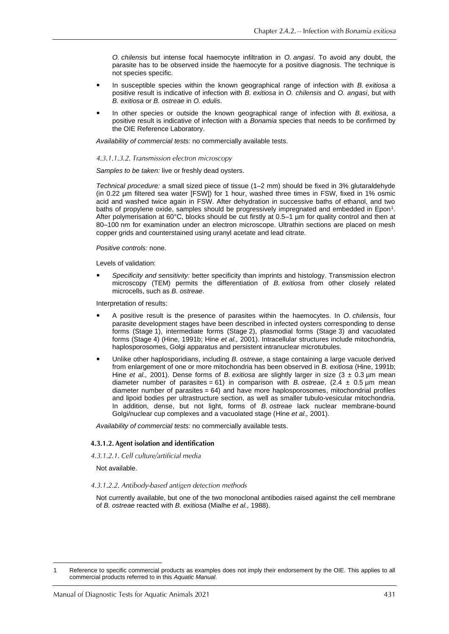*O. chilensis* but intense focal haemocyte infiltration in *O. angasi*. To avoid any doubt, the parasite has to be observed inside the haemocyte for a positive diagnosis. The technique is not species specific.

- In susceptible species within the known geographical range of infection with *B. exitiosa* a positive result is indicative of infection with *B. exitiosa* in *O. chilensis* and *O. angasi*, but with *B. exitiosa* or *B. ostreae* in *O. edulis*.
- In other species or outside the known geographical range of infection with *B. exitiosa*, a positive result is indicative of infection with a *Bonamia* species that needs to be confirmed by the OIE Reference Laboratory.

*Availability of commercial tests:* no commercially available tests.

#### 4.3.1.1.3.2. Transmission electron microscopy

#### *Samples to be taken:* live or freshly dead oysters.

*Technical procedure:* a small sized piece of tissue (1–2 mm) should be fixed in 3% glutaraldehyde (in 0.22 µm filtered sea water [FSW]) for 1 hour, washed three times in FSW, fixed in 1% osmic acid and washed twice again in FSW. After dehydration in successive baths of ethanol, and two baths of propylene oxide, samples should be progressively impregnated and embedded in Epon<sup>1</sup>. After polymerisation at 60°C, blocks should be cut firstly at 0.5–1 µm for quality control and then at 80–100 nm for examination under an electron microscope. Ultrathin sections are placed on mesh copper grids and counterstained using uranyl acetate and lead citrate.

#### *Positive controls:* none.

Levels of validation:

 *Specificity and sensitivity:* better specificity than imprints and histology. Transmission electron microscopy (TEM) permits the differentiation of *B. exitiosa* from other closely related microcells, such as *B. ostreae*.

Interpretation of results:

- A positive result is the presence of parasites within the haemocytes. In *O. chilensis*, four parasite development stages have been described in infected oysters corresponding to dense forms (Stage 1), intermediate forms (Stage 2), plasmodial forms (Stage 3) and vacuolated forms (Stage 4) (Hine, 1991b; Hine *et al.,* 2001). Intracellular structures include mitochondria, haplosporosomes, Golgi apparatus and persistent intranuclear microtubules.
- Unlike other haplosporidians, including *B. ostreae*, a stage containing a large vacuole derived from enlargement of one or more mitochondria has been observed in *B. exitiosa* (Hine, 1991b; Hine *et al.*, 2001). Dense forms of *B. exitiosa* are slightly larger in size (3 ± 0.3 µm mean diameter number of parasites = 61) in comparison with *B. ostreae*,  $(2.4 \pm 0.5 \,\text{\ensuremath{\mu}m}$  mean diameter number of parasites = 64) and have more haplosporosomes, mitochondrial profiles and lipoid bodies per ultrastructure section, as well as smaller tubulo-vesicular mitochondria. In addition, dense, but not light, forms of *B. ostreae* lack nuclear membrane-bound Golgi/nuclear cup complexes and a vacuolated stage (Hine *et al.,* 2001).

*Availability of commercial tests:* no commercially available tests.

#### 4.3.1.2. Agent isolation and identification

4.3.1.2.1. Cell culture/artificial media

Not available.

#### 4.3.1.2.2. Antibody-based antigen detection methods

Not currently available, but one of the two monoclonal antibodies raised against the cell membrane of *B. ostreae* reacted with *B. exitiosa* (Mialhe *et al.,* 1988).

Reference to specific commercial products as examples does not imply their endorsement by the OIE. This applies to all commercial products referred to in this *Aquatic Manual*.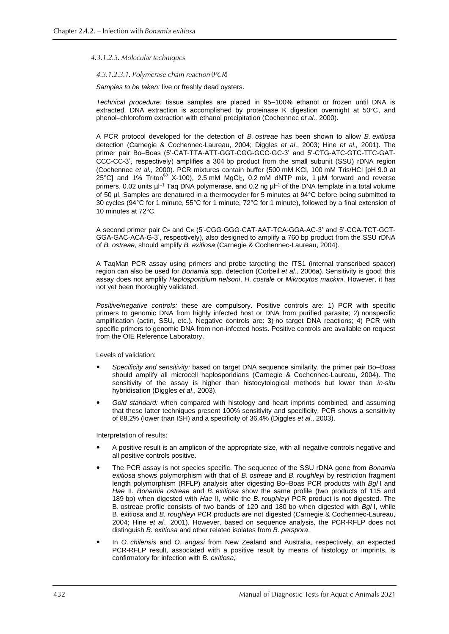#### 4.3.1.2.3. Molecular techniques

#### 4.3.1.2.3.1. Polymerase chain reaction (PCR)

*Samples to be taken:* live or freshly dead oysters.

*Technical procedure:* tissue samples are placed in 95–100% ethanol or frozen until DNA is extracted. DNA extraction is accomplished by proteinase K digestion overnight at 50°C, and phenol–chloroform extraction with ethanol precipitation (Cochennec *et al.,* 2000).

A PCR protocol developed for the detection of *B. ostreae* has been shown to allow *B. exitiosa* detection (Carnegie & Cochennec-Laureau, 2004; Diggles *et al*., 2003; Hine *et al.,* 2001). The primer pair Bo–Boas (5'-CAT-TTA-ATT-GGT-CGG-GCC-GC-3' and 5'-CTG-ATC-GTC-TTC-GAT-CCC-CC-3', respectively) amplifies a 304 bp product from the small subunit (SSU) rDNA region (Cochennec *et al.,* 2000). PCR mixtures contain buffer (500 mM KCl, 100 mM Tris/HCl [pH 9.0 at 25°C] and 1% Triton<sup>®</sup> X-100), 2.5 mM MgCl<sub>2</sub>, 0.2 mM dNTP mix, 1 µM forward and reverse primers, 0.02 units  $\mu$ <sup>-1</sup> Taq DNA polymerase, and 0.2 ng  $\mu$ <sup>-1</sup> of the DNA template in a total volume of 50 µl. Samples are denatured in a thermocycler for 5 minutes at 94°C before being submitted to 30 cycles (94°C for 1 minute, 55°C for 1 minute, 72°C for 1 minute), followed by a final extension of 10 minutes at 72°C.

A second primer pair C<sup>F</sup> and C<sup>R</sup> (5'-CGG-GGG-CAT-AAT-TCA-GGA-AC-3' and 5'-CCA-TCT-GCT-GGA-GAC-ACA-G-3', respectively), also designed to amplify a 760 bp product from the SSU rDNA of *B. ostreae*, should amplify *B. exitiosa* (Carnegie & Cochennec-Laureau, 2004).

A TaqMan PCR assay using primers and probe targeting the ITS1 (internal transcribed spacer) region can also be used for *Bonamia* spp. detection (Corbeil *et al.,* 2006a). Sensitivity is good; this assay does not amplify *Haplosporidium nelsoni*, *H. costale* or *Mikrocytos mackini*. However, it has not yet been thoroughly validated.

*Positive/negative controls:* these are compulsory. Positive controls are: 1) PCR with specific primers to genomic DNA from highly infected host or DNA from purified parasite; 2) nonspecific amplification (actin, SSU, etc.). Negative controls are: 3) no target DNA reactions; 4) PCR with specific primers to genomic DNA from non-infected hosts. Positive controls are available on request from the OIE Reference Laboratory.

Levels of validation:

- *Specificity and sensitivity:* based on target DNA sequence similarity, the primer pair Bo–Boas should amplify all microcell haplosporidians (Carnegie & Cochennec-Laureau, 2004). The sensitivity of the assay is higher than histocytological methods but lower than *in-situ*  hybridisation (Diggles *et al*., 2003).
- *Gold standard:* when compared with histology and heart imprints combined, and assuming that these latter techniques present 100% sensitivity and specificity, PCR shows a sensitivity of 88.2% (lower than ISH) and a specificity of 36.4% (Diggles *et al*., 2003).

Interpretation of results:

- A positive result is an amplicon of the appropriate size, with all negative controls negative and all positive controls positive.
- The PCR assay is not species specific. The sequence of the SSU rDNA gene from *Bonamia exitiosa* shows polymorphism with that of *B. ostreae* and *B. roughleyi* by restriction fragment length polymorphism (RFLP) analysis after digesting Bo–Boas PCR products with *Bgl* I and *Hae* II. *Bonamia ostreae* and *B. exitiosa* show the same profile (two products of 115 and 189 bp) when digested with *Hae* II, while the *B. roughleyi* PCR product is not digested. The B. ostreae profile consists of two bands of 120 and 180 bp when digested with *Bgl* I, while B. exitiosa and *B. roughleyi* PCR products are not digested (Carnegie & Cochennec-Laureau, 2004; Hine *et al.,* 2001). However, based on sequence analysis, the PCR-RFLP does not distinguish *B. exitiosa* and other related isolates from *B. perspora*.
- In *O. chilensis* and *O. angasi* from New Zealand and Australia, respectively, an expected PCR-RFLP result, associated with a positive result by means of histology or imprints, is confirmatory for infection with *B. exitiosa;*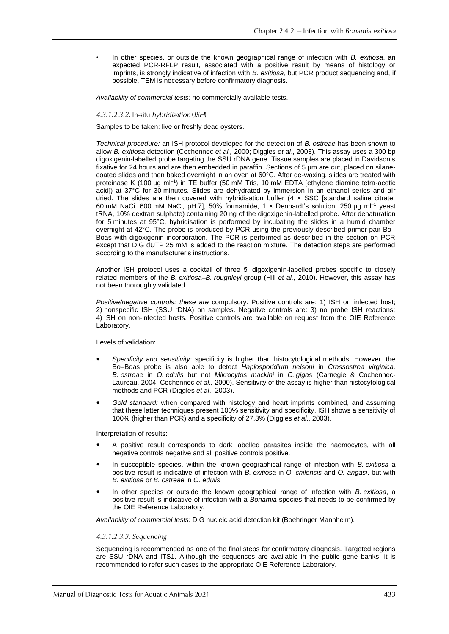• In other species, or outside the known geographical range of infection with *B. exitiosa*, an expected PCR-RFLP result, associated with a positive result by means of histology or imprints, is strongly indicative of infection with *B. exitiosa,* but PCR product sequencing and, if possible, TEM is necessary before confirmatory diagnosis.

*Availability of commercial tests:* no commercially available tests.

#### 4.3.1.2.3.2. In-situ hybridisation (ISH)

Samples to be taken: live or freshly dead oysters.

*Technical procedure:* an ISH protocol developed for the detection of *B. ostreae* has been shown to allow *B. exitiosa* detection (Cochennec *et al.,* 2000; Diggles *et al*., 2003). This assay uses a 300 bp digoxigenin-labelled probe targeting the SSU rDNA gene. Tissue samples are placed in Davidson's fixative for 24 hours and are then embedded in paraffin. Sections of 5 um are cut, placed on silanecoated slides and then baked overnight in an oven at 60°C. After de-waxing, slides are treated with proteinase K (100 µg ml<sup>-1</sup>) in TE buffer (50 mM Tris, 10 mM EDTA [ethylene diamine tetra-acetic acid]) at 37°C for 30 minutes. Slides are dehydrated by immersion in an ethanol series and air dried. The slides are then covered with hybridisation buffer  $(4 \times SSC)$  [standard saline citrate; 60 mM NaCi, 600 mM NaCl, pH 7], 50% formamide, 1 × Denhardt's solution, 250 µg ml–1 yeast tRNA, 10% dextran sulphate) containing 20 ng of the digoxigenin-labelled probe. After denaturation for 5 minutes at 95°C, hybridisation is performed by incubating the slides in a humid chamber overnight at 42°C. The probe is produced by PCR using the previously described primer pair Bo– Boas with digoxigenin incorporation. The PCR is performed as described in the section on PCR except that DIG dUTP 25 mM is added to the reaction mixture. The detection steps are performed according to the manufacturer's instructions.

Another ISH protocol uses a cocktail of three 5' digoxigenin-labelled probes specific to closely related members of the *B. exitiosa*–*B. roughleyi* group (Hill *et al.,* 2010). However, this assay has not been thoroughly validated.

*Positive/negative controls: these are* compulsory. Positive controls are: 1) ISH on infected host; 2) nonspecific ISH (SSU rDNA) on samples. Negative controls are: 3) no probe ISH reactions; 4) ISH on non-infected hosts. Positive controls are available on request from the OIE Reference Laboratory.

Levels of validation:

- *Specificity and sensitivity:* specificity is higher than histocytological methods. However, the Bo–Boas probe is also able to detect *Haplosporidium nelsoni* in *Crassostrea virginica, B. ostreae* in *O. edulis* but not *Mikrocytos mackini* in *C. gigas* (Carnegie & Cochennec-Laureau, 2004; Cochennec *et al.,* 2000). Sensitivity of the assay is higher than histocytological methods and PCR (Diggles *et al*., 2003).
- *Gold standard:* when compared with histology and heart imprints combined, and assuming that these latter techniques present 100% sensitivity and specificity, ISH shows a sensitivity of 100% (higher than PCR) and a specificity of 27.3% (Diggles *et al*., 2003).

Interpretation of results:

- A positive result corresponds to dark labelled parasites inside the haemocytes, with all negative controls negative and all positive controls positive.
- In susceptible species, within the known geographical range of infection with *B. exitiosa* a positive result is indicative of infection with *B. exitiosa* in *O. chilensis* and *O. angasi*, but with *B. exitiosa* or *B. ostreae* in *O. edulis*
- In other species or outside the known geographical range of infection with *B. exitiosa*, a positive result is indicative of infection with a *Bonamia* species that needs to be confirmed by the OIE Reference Laboratory.

*Availability of commercial tests:* DIG nucleic acid detection kit (Boehringer Mannheim).

#### 4.3.1.2.3.3. Sequencing

Sequencing is recommended as one of the final steps for confirmatory diagnosis. Targeted regions are SSU rDNA and ITS1. Although the sequences are available in the public gene banks, it is recommended to refer such cases to the appropriate OIE Reference Laboratory.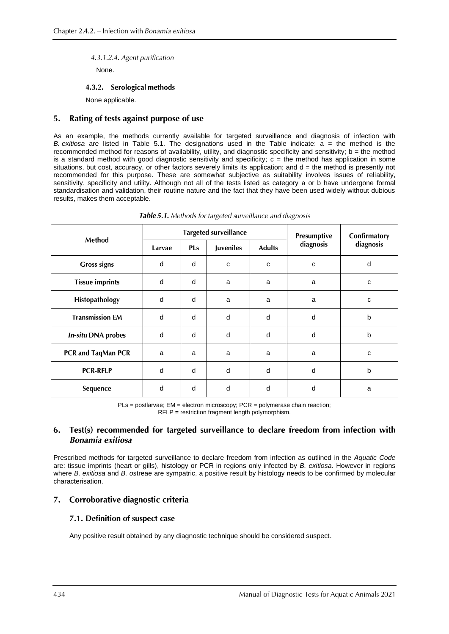4.3.1.2.4. Agent purification

None.

## 4.3.2. Serological methods

None applicable.

#### $5.$ Rating of tests against purpose of use

As an example, the methods currently available for targeted surveillance and diagnosis of infection with *B. exitiosa* are listed in Table 5.1. The designations used in the Table indicate: a = the method is the recommended method for reasons of availability, utility, and diagnostic specificity and sensitivity;  $b =$  the method is a standard method with good diagnostic sensitivity and specificity;  $c =$  the method has application in some situations, but cost, accuracy, or other factors severely limits its application; and  $d =$  the method is presently not recommended for this purpose. These are somewhat subjective as suitability involves issues of reliability, sensitivity, specificity and utility. Although not all of the tests listed as category a or b have undergone formal standardisation and validation, their routine nature and the fact that they have been used widely without dubious results, makes them acceptable.

| Method                    | <b>Targeted surveillance</b> |            |           |               | Presumptive | Confirmatory |
|---------------------------|------------------------------|------------|-----------|---------------|-------------|--------------|
|                           | Larvae                       | <b>PLs</b> | Juveniles | <b>Adults</b> | diagnosis   | diagnosis    |
| <b>Gross signs</b>        | d                            | d          | C         | C             | $\mathbf c$ | d            |
| <b>Tissue imprints</b>    | d                            | d          | a         | a             | a           | C            |
| Histopathology            | d                            | d          | a         | a             | a           | $\mathbf{C}$ |
| <b>Transmission EM</b>    | d                            | d          | d         | d             | d           | b            |
| <b>In-situ DNA probes</b> | d                            | d          | d         | d             | d           | b            |
| PCR and TaqMan PCR        | a                            | a          | a         | a             | a           | $\mathbf{C}$ |
| <b>PCR-RFLP</b>           | d                            | d          | d         | d             | d           | b            |
| Sequence                  | d                            | d          | d         | d             | d           | a            |

Table 5.1. Methods for targeted surveillance and diagnosis

PLs = postlarvae; EM = electron microscopy; PCR = polymerase chain reaction; RFLP = restriction fragment length polymorphism.

## 6. Test(s) recommended for targeted surveillance to declare freedom from infection with **Bonamia** exitiosa

Prescribed methods for targeted surveillance to declare freedom from infection as outlined in the *Aquatic Code*  are: tissue imprints (heart or gills), histology or PCR in regions only infected by *B. exitiosa*. However in regions where *B. exitiosa* and *B. os*treae are sympatric, a positive result by histology needs to be confirmed by molecular characterisation.

## 7. Corroborative diagnostic criteria

## 7.1. Definition of suspect case

Any positive result obtained by any diagnostic technique should be considered suspect.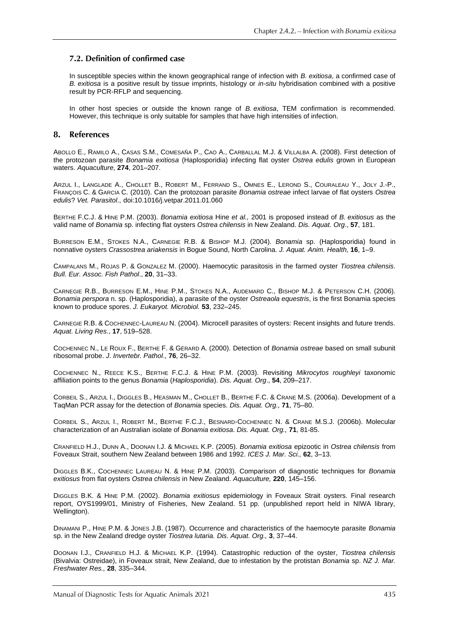## 7.2. Definition of confirmed case

In susceptible species within the known geographical range of infection with *B. exitiosa*, a confirmed case of *B. exitiosa* is a positive result by tissue imprints, histology or *in-situ* hybridisation combined with a positive result by PCR-RFLP and sequencing.

In other host species or outside the known range of *B. exitiosa*, TEM confirmation is recommended. However, this technique is only suitable for samples that have high intensities of infection.

#### 8. References

ABOLLO E., RAMILO A., CASAS S.M., COMESAÑA P., CAO A., CARBALLAL M.J. & VILLALBA A. (2008). First detection of the protozoan parasite *Bonamia exitiosa* (Haplosporidia) infecting flat oyster *Ostrea edulis* grown in European waters. *Aquaculture,* **274**, 201–207.

ARZUL I., LANGLADE A., CHOLLET B., ROBERT M., FERRAND S., OMNES E., LEROND S., COURALEAU Y., JOLY J.-P., FRANÇOIS C. & GARCIA C. (2010). Can the protozoan parasite *Bonamia ostreae* infect larvae of flat oysters *Ostrea edulis*? *Vet. Parasitol*., [doi:10.1016/j.vetpar.2011.01.060](http://dx.doi.org/10.1016/j.vetpar.2011.01.060)

BERTHE F.C.J. & HINE P.M. (2003). *Bonamia exitiosa* Hine *et al.,* 2001 is proposed instead of *B. exitiosus* as the valid name of *Bonamia* sp. infecting flat oysters *Ostrea chilensis* in New Zealand. *Dis. Aquat. Org*., **57**, 181.

BURRESON E.M., STOKES N.A., CARNEGIE R.B. & BISHOP M.J. (2004). *Bonamia* sp. (Haplosporidia) found in nonnative oysters *Crassostrea ariakensis* in Bogue Sound, North Carolina. *J. Aquat. Anim. Health,* **16**, 1–9.

CAMPALANS M., ROJAS P. & GONZALEZ M. (2000). Haemocytic parasitosis in the farmed oyster *Tiostrea chilensis*. *Bull. Eur. Assoc. Fish Pathol*., **20**, 31–33.

CARNEGIE R.B., BURRESON E.M., HINE P.M., STOKES N.A., AUDEMARD C., BISHOP M.J. & PETERSON C.H. (2006). *Bonamia perspora* n. sp. (Haplosporidia), a parasite of the oyster *Ostreaola equestris*, is the first Bonamia species known to produce spores. *J. Eukaryot. Microbiol.* **53**, 232–245.

CARNEGIE R.B. & COCHENNEC-LAUREAU N. (2004). Microcell parasites of oysters: Recent insights and future trends. *Aquat. Living Res.*, **17**, 519–528.

COCHENNEC N., LE ROUX F., BERTHE F. & GÉRARD A. (2000). Detection of *Bonamia ostreae* based on small subunit ribosomal probe. *J. Invertebr. Pathol*., **76**, 26–32.

COCHENNEC N., REECE K.S., BERTHE F.C.J. & HINE P.M. (2003). Revisiting *Mikrocytos roughleyi* taxonomic affiliation points to the genus *Bonamia* (*Haplosporidia*). *Dis. Aquat. Org*., **54**, 209–217.

CORBEIL S., ARZUL I., DIGGLES B., HEASMAN M., CHOLLET B., BERTHE F.C. & CRANE M.S. (2006a). Development of a TaqMan PCR assay for the detection of *Bonamia* species. *Dis. Aquat. Org.,* **71**, 75–80.

CORBEIL S., ARZUL I., ROBERT M., BERTHE F.C.J., BESNARD-COCHENNEC N. & CRANE M.S.J. (2006b). Molecular characterization of an Australian isolate of *Bonamia exitiosa*. *Dis. Aquat. Org.,* **71**, 81-85.

CRANFIELD H.J., DUNN A., DOONAN I.J. & MICHAEL K.P. (2005). *Bonamia exitiosa* epizootic in *Ostrea chilensis* from Foveaux Strait, southern New Zealand between 1986 and 1992. *ICES J. Mar. Sci.,* **62**, 3–13.

DIGGLES B.K., COCHENNEC LAUREAU N. & HINE P.M. (2003). Comparison of diagnostic techniques for *Bonamia exitiosus* from flat oysters *Ostrea chilensis* in New Zealand. *Aquaculture,* **220**, 145–156.

DIGGLES B.K. & HINE P.M. (2002). *Bonamia exitiosus* epidemiology in Foveaux Strait oysters. Final research report, OYS1999/01, Ministry of Fisheries, New Zealand. 51 pp. (unpublished report held in NIWA library, Wellington).

DINAMANI P., HINE P.M. & JONES J.B. (1987). Occurrence and characteristics of the haemocyte parasite *Bonamia*  sp. in the New Zealand dredge oyster *Tiostrea lutaria. Dis. Aquat. Org.,* **3**, 37–44.

DOONAN I.J., CRANFIELD H.J. & MICHAEL K.P. (1994). Catastrophic reduction of the oyster, *Tiostrea chilensis* (Bivalvia: Ostreidae), in Foveaux strait, New Zealand, due to infestation by the protistan *Bonamia* sp. *NZ J. Mar. Freshwater Res.,* **28**, 335–344.